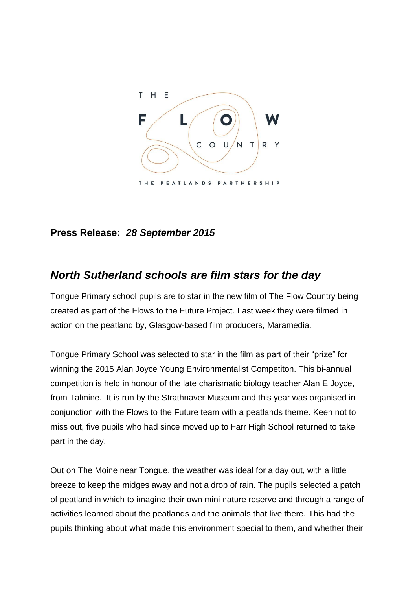

## **Press Release:** *28 September 2015*

## *North Sutherland schools are film stars for the day*

Tongue Primary school pupils are to star in the new film of The Flow Country being created as part of the Flows to the Future Project. Last week they were filmed in action on the peatland by, Glasgow-based film producers, Maramedia.

Tongue Primary School was selected to star in the film as part of their "prize" for winning the 2015 Alan Joyce Young Environmentalist Competiton. This bi-annual competition is held in honour of the late charismatic biology teacher Alan E Joyce, from Talmine. It is run by the Strathnaver Museum and this year was organised in conjunction with the Flows to the Future team with a peatlands theme. Keen not to miss out, five pupils who had since moved up to Farr High School returned to take part in the day.

Out on The Moine near Tongue, the weather was ideal for a day out, with a little breeze to keep the midges away and not a drop of rain. The pupils selected a patch of peatland in which to imagine their own mini nature reserve and through a range of activities learned about the peatlands and the animals that live there. This had the pupils thinking about what made this environment special to them, and whether their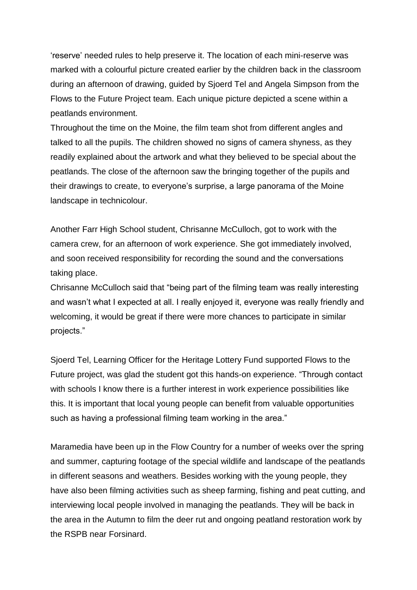'reserve' needed rules to help preserve it. The location of each mini-reserve was marked with a colourful picture created earlier by the children back in the classroom during an afternoon of drawing, guided by Sjoerd Tel and Angela Simpson from the Flows to the Future Project team. Each unique picture depicted a scene within a peatlands environment.

Throughout the time on the Moine, the film team shot from different angles and talked to all the pupils. The children showed no signs of camera shyness, as they readily explained about the artwork and what they believed to be special about the peatlands. The close of the afternoon saw the bringing together of the pupils and their drawings to create, to everyone's surprise, a large panorama of the Moine landscape in technicolour.

Another Farr High School student, Chrisanne McCulloch, got to work with the camera crew, for an afternoon of work experience. She got immediately involved, and soon received responsibility for recording the sound and the conversations taking place.

Chrisanne McCulloch said that "being part of the filming team was really interesting and wasn't what I expected at all. I really enjoyed it, everyone was really friendly and welcoming, it would be great if there were more chances to participate in similar projects."

Sjoerd Tel, Learning Officer for the Heritage Lottery Fund supported Flows to the Future project, was glad the student got this hands-on experience. "Through contact with schools I know there is a further interest in work experience possibilities like this. It is important that local young people can benefit from valuable opportunities such as having a professional filming team working in the area."

Maramedia have been up in the Flow Country for a number of weeks over the spring and summer, capturing footage of the special wildlife and landscape of the peatlands in different seasons and weathers. Besides working with the young people, they have also been filming activities such as sheep farming, fishing and peat cutting, and interviewing local people involved in managing the peatlands. They will be back in the area in the Autumn to film the deer rut and ongoing peatland restoration work by the RSPB near Forsinard.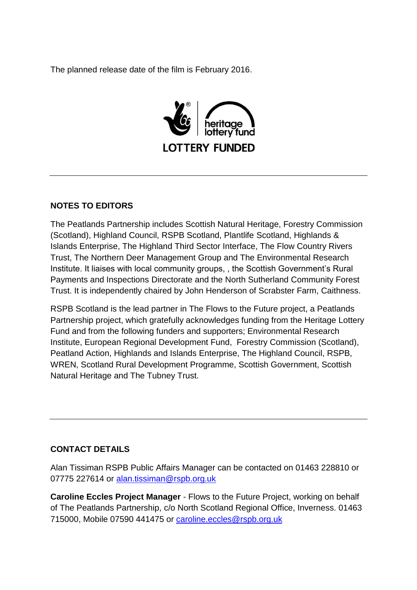The planned release date of the film is February 2016.



## **NOTES TO EDITORS**

The Peatlands Partnership includes Scottish Natural Heritage, Forestry Commission (Scotland), Highland Council, RSPB Scotland, Plantlife Scotland, Highlands & Islands Enterprise, The Highland Third Sector Interface, The Flow Country Rivers Trust, The Northern Deer Management Group and The Environmental Research Institute. It liaises with local community groups, , the Scottish Government's Rural Payments and Inspections Directorate and the North Sutherland Community Forest Trust. It is independently chaired by John Henderson of Scrabster Farm, Caithness.

RSPB Scotland is the lead partner in The Flows to the Future project, a Peatlands Partnership project, which gratefully acknowledges funding from the Heritage Lottery Fund and from the following funders and supporters; Environmental Research Institute, European Regional Development Fund, Forestry Commission (Scotland), Peatland Action, Highlands and Islands Enterprise, The Highland Council, RSPB, WREN, Scotland Rural Development Programme, Scottish Government, Scottish Natural Heritage and The Tubney Trust.

## **CONTACT DETAILS**

Alan Tissiman RSPB Public Affairs Manager can be contacted on 01463 228810 or 07775 227614 or [alan.tissiman@rspb.org.uk](mailto:alan.tissiman@rspb.org.uk)

**Caroline Eccles Project Manager** - Flows to the Future Project, working on behalf of The Peatlands Partnership, c/o North Scotland Regional Office, Inverness. 01463 715000, Mobile 07590 441475 or [caroline.eccles@rspb.org.uk](mailto:caroline.eccles@rspb.org.uk)